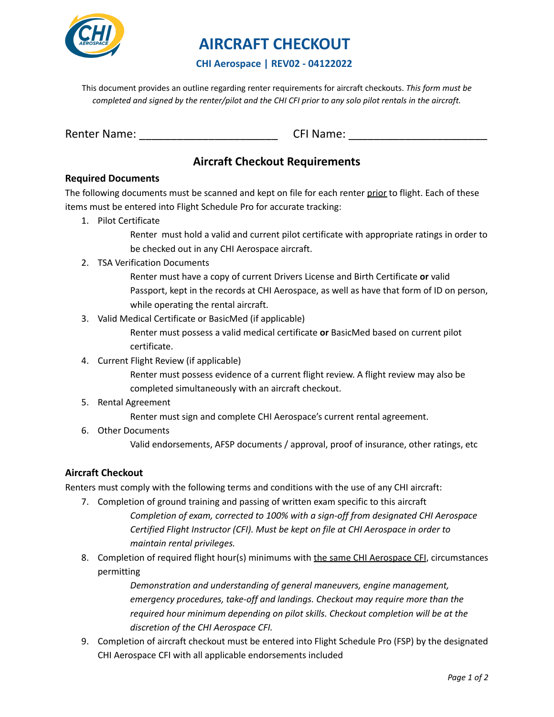

# **AIRCRAFT CHECKOUT**

### **CHI Aerospace | REV02 - 04122022**

This document provides an outline regarding renter requirements for aircraft checkouts. *This form must be* completed and signed by the renter/pilot and the CHI CFI prior to any solo pilot rentals in the aircraft.

Renter Name: The CFI Name:  $\mathsf{C}\mathsf{C}\mathsf{C}\mathsf{C}\mathsf{C}$  and  $\mathsf{C}\mathsf{C}\mathsf{C}\mathsf{C}\mathsf{C}$  and  $\mathsf{C}\mathsf{C}\mathsf{C}\mathsf{C}\mathsf{C}\mathsf{C}\mathsf{C}$  and  $\mathsf{C}\mathsf{C}\mathsf{C}\mathsf{C}\mathsf{C}\mathsf{C}\mathsf{C}$  and  $\mathsf{C}\mathsf{C}\mathsf{C}\mathsf{C}\mathsf{C}\mathsf{C}\mathsf{C}\mathsf{C}$ 

## **Aircraft Checkout Requirements**

### **Required Documents**

The following documents must be scanned and kept on file for each renter prior to flight. Each of these items must be entered into Flight Schedule Pro for accurate tracking:

1. Pilot Certificate

Renter must hold a valid and current pilot certificate with appropriate ratings in order to be checked out in any CHI Aerospace aircraft.

2. TSA Verification Documents

Renter must have a copy of current Drivers License and Birth Certificate **or** valid Passport, kept in the records at CHI Aerospace, as well as have that form of ID on person, while operating the rental aircraft.

3. Valid Medical Certificate or BasicMed (if applicable)

Renter must possess a valid medical certificate **or** BasicMed based on current pilot certificate.

4. Current Flight Review (if applicable)

Renter must possess evidence of a current flight review. A flight review may also be completed simultaneously with an aircraft checkout.

5. Rental Agreement

Renter must sign and complete CHI Aerospace's current rental agreement.

6. Other Documents

Valid endorsements, AFSP documents / approval, proof of insurance, other ratings, etc

## **Aircraft Checkout**

Renters must comply with the following terms and conditions with the use of any CHI aircraft:

- 7. Completion of ground training and passing of written exam specific to this aircraft *Completion of exam, corrected to 100% with a sign-off from designated CHI Aerospace Certified Flight Instructor (CFI). Must be kept on file at CHI Aerospace in order to maintain rental privileges.*
- 8. Completion of required flight hour(s) minimums with the same CHI Aerospace CFI, circumstances permitting

*Demonstration and understanding of general maneuvers, engine management, emergency procedures, take-off and landings. Checkout may require more than the required hour minimum depending on pilot skills. Checkout completion will be at the discretion of the CHI Aerospace CFI.*

9. Completion of aircraft checkout must be entered into Flight Schedule Pro (FSP) by the designated CHI Aerospace CFI with all applicable endorsements included